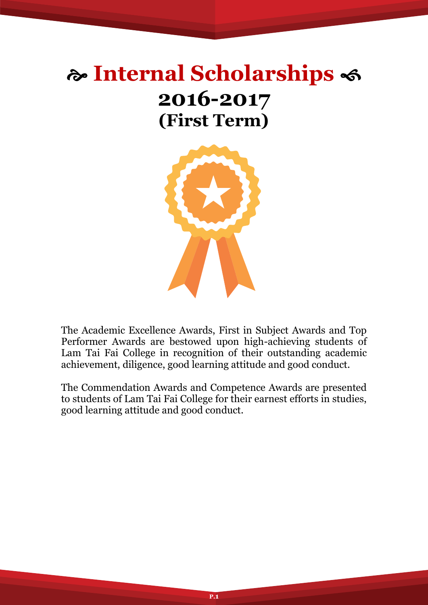# **Internal Scholarships 2016-2017 (First Term)**



The Academic Excellence Awards, First in Subject Awards and Top Performer Awards are bestowed upon high-achieving students of Lam Tai Fai College in recognition of their outstanding academic achievement, diligence, good learning attitude and good conduct.

The Commendation Awards and Competence Awards are presented to students of Lam Tai Fai College for their earnest efforts in studies, good learning attitude and good conduct.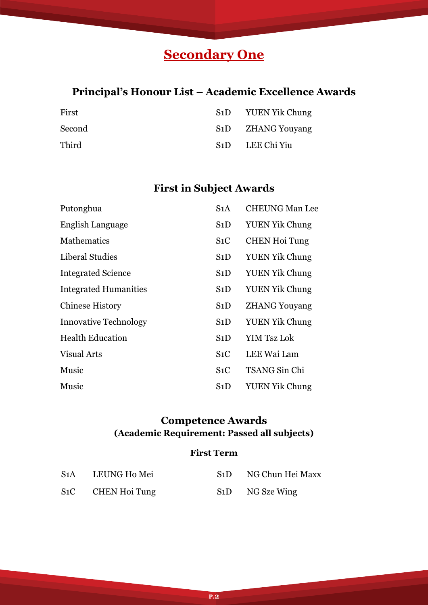# **Secondary One**

# **Principal's Honour List – Academic Excellence Awards**

| First  | S1D YUEN Yik Chung             |
|--------|--------------------------------|
| Second | S <sub>1</sub> D ZHANG Youyang |
| Third  | S <sub>1</sub> D LEE Chi Yiu   |

# **First in Subject Awards**

| Putonghua                    | S <sub>1</sub> A | <b>CHEUNG Man Lee</b> |
|------------------------------|------------------|-----------------------|
| English Language             | S1D              | <b>YUEN Yik Chung</b> |
| <b>Mathematics</b>           | $S_1C$           | <b>CHEN Hoi Tung</b>  |
| Liberal Studies              | S1D              | <b>YUEN Yik Chung</b> |
| <b>Integrated Science</b>    | S1D              | <b>YUEN Yik Chung</b> |
| <b>Integrated Humanities</b> | S1D              | <b>YUEN Yik Chung</b> |
| <b>Chinese History</b>       | S1D              | <b>ZHANG Youyang</b>  |
| <b>Innovative Technology</b> | S1D              | <b>YUEN Yik Chung</b> |
| <b>Health Education</b>      | S1D              | <b>YIM Tsz Lok</b>    |
| <b>Visual Arts</b>           | $S_1C$           | LEE Wai Lam           |
| Music                        | $S_1C$           | TSANG Sin Chi         |
| Music                        | S1D              | <b>YUEN Yik Chung</b> |

### **Competence Awards (Academic Requirement: Passed all subjects)**

### **First Term**

| S1A    | LEUNG Ho Mei  | S1D | NG Chun Hei Maxx |
|--------|---------------|-----|------------------|
| $S_1C$ | CHEN Hoi Tung |     | S1D NG Sze Wing  |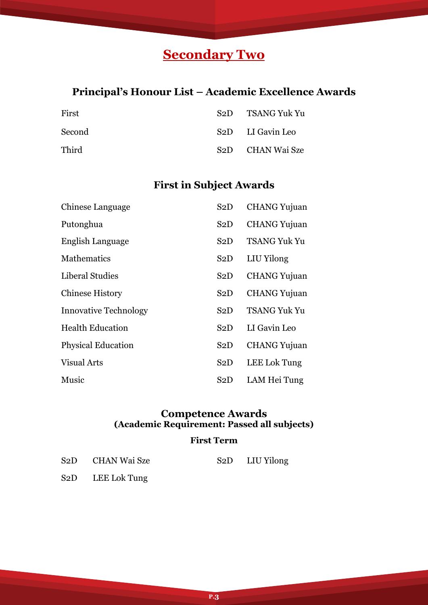# **Secondary Two**

# **Principal's Honour List – Academic Excellence Awards**

| First  | S <sub>2</sub> D TSANG Yuk Yu |
|--------|-------------------------------|
| Second | S <sub>2</sub> D LI Gavin Leo |
| Third  | S <sub>2</sub> D CHAN Wai Sze |

### **First in Subject Awards**

| Chinese Language             | S <sub>2</sub> D | <b>CHANG</b> Yujuan |
|------------------------------|------------------|---------------------|
| Putonghua                    | S2D              | <b>CHANG</b> Yujuan |
| English Language             | S <sub>2</sub> D | <b>TSANG Yuk Yu</b> |
| <b>Mathematics</b>           | S2D              | LIU Yilong          |
| Liberal Studies              | S2D              | <b>CHANG</b> Yujuan |
| <b>Chinese History</b>       | S2D              | <b>CHANG Yujuan</b> |
| <b>Innovative Technology</b> | S <sub>2</sub> D | <b>TSANG Yuk Yu</b> |
| <b>Health Education</b>      | S2D              | LI Gavin Leo        |
| <b>Physical Education</b>    | S2D              | <b>CHANG</b> Yujuan |
| <b>Visual Arts</b>           | S2D              | LEE Lok Tung        |
| Music                        | S2D              | LAM Hei Tung        |

#### **Competence Awards (Academic Requirement: Passed all subjects)**

#### **First Term**

**P.3**

| S <sub>2</sub> D CHAN Wai Sze | S2D LIU Yilong |
|-------------------------------|----------------|
| S <sub>2</sub> D LEE Lok Tung |                |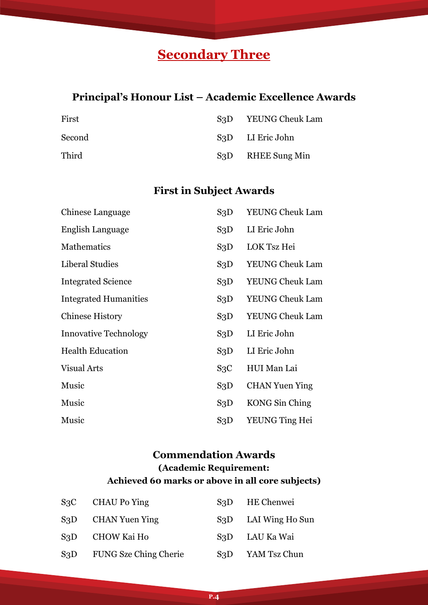# **Secondary Three**

### **Principal's Honour List – Academic Excellence Awards**

| First  | S3D | YEUNG Cheuk Lam                |
|--------|-----|--------------------------------|
| Second |     | S <sub>3</sub> D LI Eric John  |
| Third  |     | S <sub>3</sub> D RHEE Sung Min |

# **First in Subject Awards**

| Chinese Language             | S3D              | <b>YEUNG Cheuk Lam</b> |
|------------------------------|------------------|------------------------|
| English Language             | S3D              | LI Eric John           |
| <b>Mathematics</b>           | S3D              | LOK Tsz Hei            |
| Liberal Studies              | S3D              | <b>YEUNG Cheuk Lam</b> |
| <b>Integrated Science</b>    | S3D              | <b>YEUNG Cheuk Lam</b> |
| <b>Integrated Humanities</b> | S3D              | <b>YEUNG Cheuk Lam</b> |
| <b>Chinese History</b>       | S <sub>3</sub> D | <b>YEUNG Cheuk Lam</b> |
| <b>Innovative Technology</b> | S3D              | LI Eric John           |
| <b>Health Education</b>      | S3D              | LI Eric John           |
| <b>Visual Arts</b>           | S <sub>3</sub> C | HUI Man Lai            |
| Music                        | S3D              | <b>CHAN Yuen Ying</b>  |
| Music                        | S3D              | KONG Sin Ching         |
| Music                        | S <sub>3</sub> D | YEUNG Ting Hei         |

### **Commendation Awards (Academic Requirement: Achieved 60 marks or above in all core subjects)**

| $S_3C$ | CHAU Po Ying                    | S <sub>3</sub> D HE Chenwei      |
|--------|---------------------------------|----------------------------------|
|        | S <sub>3</sub> D CHAN Yuen Ying | S <sub>3</sub> D LAI Wing Ho Sun |
| S3D    | CHOW Kai Ho                     | S3D LAU Ka Wai                   |
| S3D    | <b>FUNG Sze Ching Cherie</b>    | S <sub>3</sub> D YAM Tsz Chun    |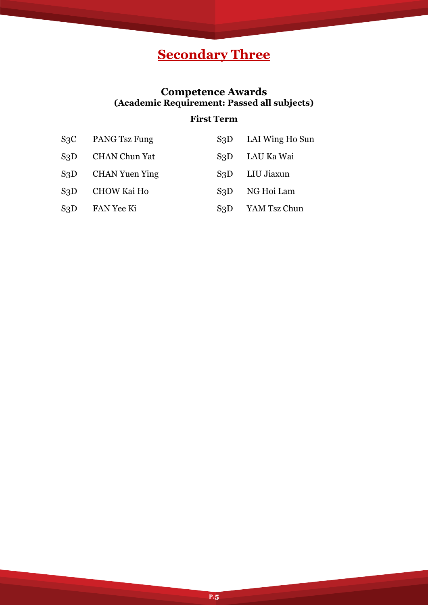# **Secondary Three**

### **Competence Awards (Academic Requirement: Passed all subjects)**

### **First Term**

| S <sub>3</sub> C | PANG Tsz Fung         | S3D | LAI Wing Ho Sun |
|------------------|-----------------------|-----|-----------------|
| S3D              | <b>CHAN Chun Yat</b>  | S3D | LAU Ka Wai      |
| S <sub>3</sub> D | <b>CHAN Yuen Ying</b> | S3D | LIU Jiaxun      |
| S3D              | <b>CHOW Kai Ho</b>    | S3D | NG Hoi Lam      |
| S <sub>3</sub> D | FAN Yee Ki            | S3D | YAM Tsz Chun    |

**P.5**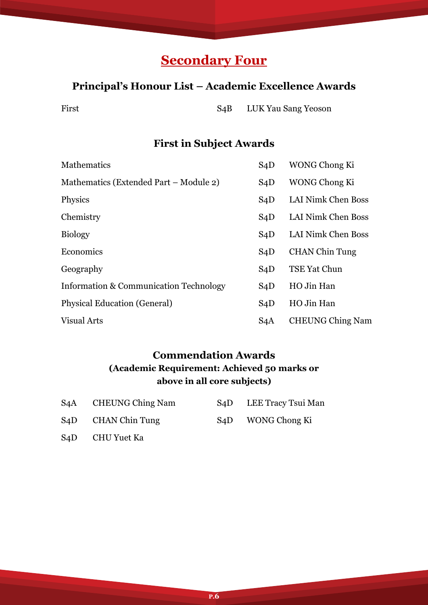# **Secondary Four**

### **Principal's Honour List – Academic Excellence Awards**

First S4B LUK Yau Sang Yeoson

### **First in Subject Awards**

| <b>Mathematics</b>                                | S4D              | WONG Chong Ki           |
|---------------------------------------------------|------------------|-------------------------|
| Mathematics (Extended Part – Module 2)            | S4D              | WONG Chong Ki           |
| Physics                                           | S4D              | LAI Nimk Chen Boss      |
| Chemistry                                         | S4D              | LAI Nimk Chen Boss      |
| <b>Biology</b>                                    | S4D              | LAI Nimk Chen Boss      |
| Economics                                         | S4D              | <b>CHAN Chin Tung</b>   |
| Geography                                         | S4D              | TSE Yat Chun            |
| <b>Information &amp; Communication Technology</b> | S4D              | HO Jin Han              |
| <b>Physical Education (General)</b>               | S4D              | HO Jin Han              |
| <b>Visual Arts</b>                                | S <sub>4</sub> A | <b>CHEUNG Ching Nam</b> |

### **Commendation Awards (Academic Requirement: Achieved 50 marks or above in all core subjects)**

| S4A | <b>CHEUNG Ching Nam</b>         | S <sub>4</sub> D LEE Tracy Tsui Man |
|-----|---------------------------------|-------------------------------------|
|     | S <sub>4</sub> D CHAN Chin Tung | S <sub>4</sub> D WONG Chong Ki      |

S4D CHU Yuet Ka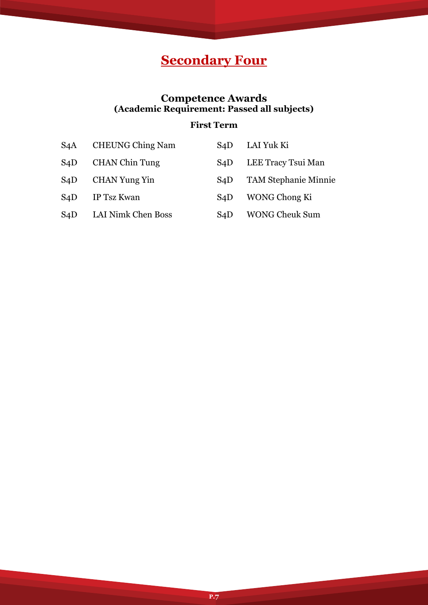# **Secondary Four**

### **Competence Awards (Academic Requirement: Passed all subjects)**

### **First Term**

| S <sub>4</sub> A | <b>CHEUNG Ching Nam</b> | S <sub>4</sub> D | LAI Yuk Ki                  |
|------------------|-------------------------|------------------|-----------------------------|
| S <sub>4</sub> D | <b>CHAN Chin Tung</b>   | S4D              | LEE Tracy Tsui Man          |
| S <sub>4</sub> D | <b>CHAN Yung Yin</b>    | S <sub>4</sub> D | <b>TAM Stephanie Minnie</b> |
| S <sub>4</sub> D | IP Tsz Kwan             | S <sub>4</sub> D | WONG Chong Ki               |
| S4D              | LAI Nimk Chen Boss      | S <sub>4</sub> D | <b>WONG Cheuk Sum</b>       |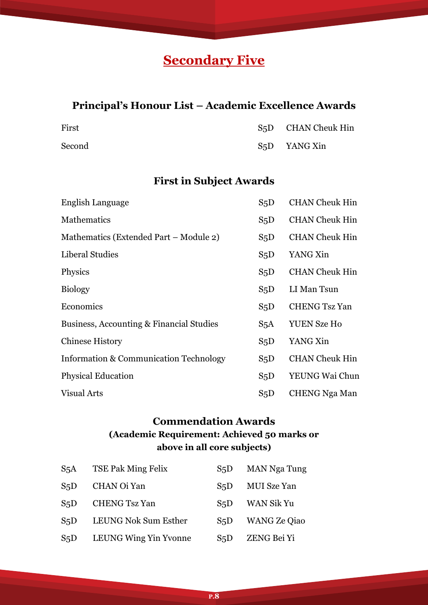# **Secondary Five**

# **Principal's Honour List – Academic Excellence Awards**

| First  | S <sub>5</sub> D CHAN Cheuk Hin |
|--------|---------------------------------|
| Second | S <sub>5</sub> D YANG Xin       |

# **First in Subject Awards**

| English Language                                  | S <sub>5</sub> D | <b>CHAN Cheuk Hin</b> |
|---------------------------------------------------|------------------|-----------------------|
| Mathematics                                       | S <sub>5</sub> D | <b>CHAN Cheuk Hin</b> |
| Mathematics (Extended Part – Module 2)            | S <sub>5</sub> D | <b>CHAN Cheuk Hin</b> |
| Liberal Studies                                   | S <sub>5</sub> D | YANG Xin              |
| Physics                                           | S <sub>5</sub> D | <b>CHAN Cheuk Hin</b> |
| <b>Biology</b>                                    | S <sub>5</sub> D | LI Man Tsun           |
| Economics                                         | S <sub>5</sub> D | <b>CHENG Tsz Yan</b>  |
| Business, Accounting & Financial Studies          | S <sub>5</sub> A | <b>YUEN Sze Ho</b>    |
| <b>Chinese History</b>                            | S <sub>5</sub> D | YANG Xin              |
| <b>Information &amp; Communication Technology</b> | $S_5D$           | <b>CHAN Cheuk Hin</b> |
| <b>Physical Education</b>                         | S <sub>5</sub> D | YEUNG Wai Chun        |
| <b>Visual Arts</b>                                | S <sub>5</sub> D | CHENG Nga Man         |

### **Commendation Awards (Academic Requirement: Achieved 50 marks or above in all core subjects)**

| S <sub>5</sub> A | <b>TSE Pak Ming Felix</b> | S <sub>5</sub> D | <b>MAN Nga Tung</b> |
|------------------|---------------------------|------------------|---------------------|
| S <sub>5</sub> D | CHAN Oi Yan               | S5D              | MUI Sze Yan         |
| S <sub>5</sub> D | <b>CHENG Tsz Yan</b>      | S <sub>5</sub> D | WAN Sik Yu          |
| S <sub>5</sub> D | LEUNG Nok Sum Esther      | S <sub>5</sub> D | <b>WANG Ze Qiao</b> |
| S <sub>5</sub> D | LEUNG Wing Yin Yvonne     | S <sub>5</sub> D | ZENG Bei Yi         |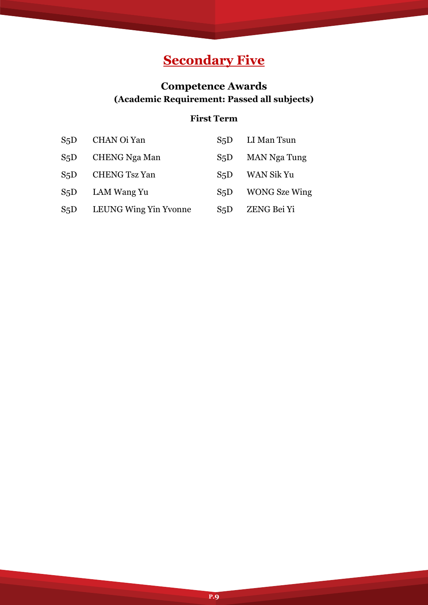# **Secondary Five**

# **Competence Awards (Academic Requirement: Passed all subjects)**

### **First Term**

| S <sub>5</sub> D | CHAN Oi Yan           | S5D              | LI Man Tsun          |
|------------------|-----------------------|------------------|----------------------|
| S <sub>5</sub> D | <b>CHENG Nga Man</b>  | S <sub>5</sub> D | <b>MAN Nga Tung</b>  |
| S <sub>5</sub> D | <b>CHENG Tsz Yan</b>  | S5D              | WAN Sik Yu           |
| S <sub>5</sub> D | LAM Wang Yu           | S <sub>5</sub> D | <b>WONG</b> Sze Wing |
| S <sub>5</sub> D | LEUNG Wing Yin Yvonne | S <sub>5</sub> D | ZENG Bei Yi          |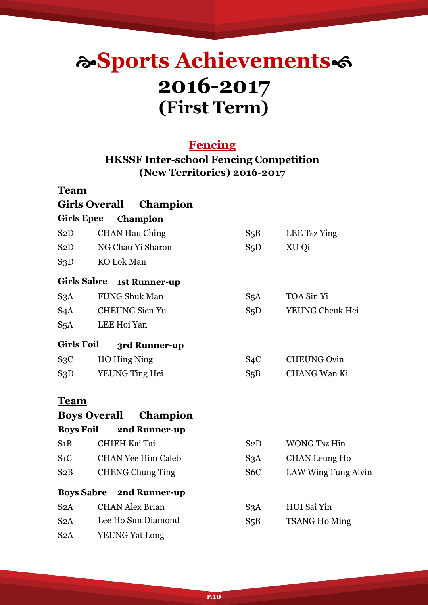# **Sports Achievements 2016-2017 (First Term)**

### **Fencing**

### **HKSSF Inter-school Fencing Competition (New Territories) 2016-2017**

### **Team**

|                   | <b>Girls Overall</b><br>Champion       |                  |                      |
|-------------------|----------------------------------------|------------------|----------------------|
| <b>Girls Epee</b> | Champion                               |                  |                      |
| S2D               | <b>CHAN Hau Ching</b>                  | $S_5B$           | LEE Tsz Ying         |
| S2D               | NG Chau Yi Sharon                      | S <sub>5</sub> D | XU Qi                |
| S3D               | KO Lok Man                             |                  |                      |
|                   | Girls Sabre 1st Runner-up              |                  |                      |
| S <sub>3</sub> A  | <b>FUNG Shuk Man</b>                   | S <sub>5</sub> A | TOA Sin Yi           |
| S4A               | <b>CHEUNG Sien Yu</b>                  | S <sub>5</sub> D | YEUNG Cheuk Hei      |
| S <sub>5</sub> A  | LEE Hoi Yan                            |                  |                      |
| <b>Girls Foil</b> | 3rd Runner-up                          |                  |                      |
| $S_3C$            | HO Hing Ning                           | S <sub>4</sub> C | <b>CHEUNG Ovin</b>   |
| S3D               | YEUNG Ting Hei                         | $S_5B$           | <b>CHANG Wan Ki</b>  |
| <b>Team</b>       |                                        |                  |                      |
|                   | <b>Boys Overall</b><br><b>Champion</b> |                  |                      |
| <b>Boys Foil</b>  | 2nd Runner-up                          |                  |                      |
| S1B               | <b>CHIEH Kai Tai</b>                   | S2D              | <b>WONG Tsz Hin</b>  |
| $S_1C$            | <b>CHAN Yee Him Caleb</b>              | S3A              | <b>CHAN Leung Ho</b> |
| S2B               | <b>CHENG Chung Ting</b>                | S <sub>6</sub> C | LAW Wing Fung Alvin  |
|                   | <b>Boys Sabre 2nd Runner-up</b>        |                  |                      |
| S2A               | <b>CHAN Alex Brian</b>                 | S <sub>3</sub> A | HUI Sai Yin          |
| S2A               | Lee Ho Sun Diamond                     | S <sub>5</sub> B | <b>TSANG Ho Ming</b> |
| S2A               | <b>YEUNG Yat Long</b>                  |                  |                      |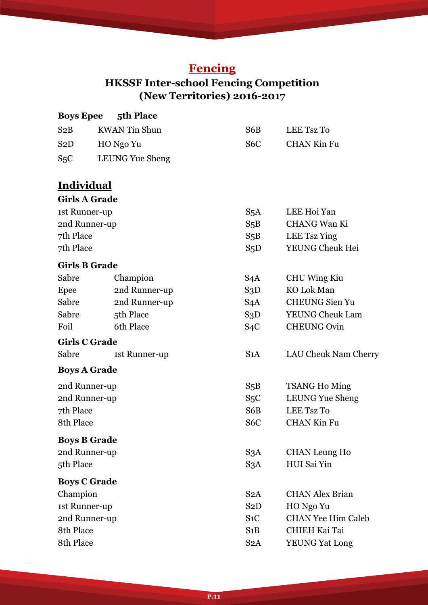# **Fencing**

# **HKSSF Inter-school Fencing Competition (New Territories) 2016-2017**

| <b>Boys Epee</b>     | 5th Place              |                  |                           |
|----------------------|------------------------|------------------|---------------------------|
| S2B                  | <b>KWAN</b> Tin Shun   | S6B              | LEE Tsz To                |
| S2D                  | HO Ngo Yu              | S <sub>6</sub> C | <b>CHAN Kin Fu</b>        |
| S <sub>5</sub> C     | <b>LEUNG Yue Sheng</b> |                  |                           |
| <u>Individual</u>    |                        |                  |                           |
| <b>Girls A Grade</b> |                        |                  |                           |
| 1st Runner-up        |                        | S <sub>5</sub> A | LEE Hoi Yan               |
| 2nd Runner-up        |                        | $S_5B$           | <b>CHANG Wan Ki</b>       |
| 7th Place            |                        | $S_5B$           | LEE Tsz Ying              |
| 7th Place            |                        | S <sub>5</sub> D | YEUNG Cheuk Hei           |
| <b>Girls B Grade</b> |                        |                  |                           |
| Sabre                | Champion               | S <sub>4</sub> A | CHU Wing Kiu              |
| Epee                 | 2nd Runner-up          | S3D              | KO Lok Man                |
| Sabre                | 2nd Runner-up          | S4A              | <b>CHEUNG</b> Sien Yu     |
| Sabre                | 5th Place              | S3D              | <b>YEUNG Cheuk Lam</b>    |
| Foil                 | 6th Place              | S <sub>4</sub> C | <b>CHEUNG Ovin</b>        |
| <b>Girls C Grade</b> |                        |                  |                           |
| Sabre                | 1st Runner-up          | S1A              | LAU Cheuk Nam Cherry      |
| <b>Boys A Grade</b>  |                        |                  |                           |
| 2nd Runner-up        |                        | $S_5B$           | <b>TSANG Ho Ming</b>      |
| 2nd Runner-up        |                        | S <sub>5</sub> C | <b>LEUNG Yue Sheng</b>    |
| 7th Place            |                        | S6B              | LEE Tsz To                |
| 8th Place            |                        | S <sub>6</sub> C | <b>CHAN Kin Fu</b>        |
| <b>Boys B Grade</b>  |                        |                  |                           |
| 2nd Runner-up        |                        | S <sub>3</sub> A | <b>CHAN Leung Ho</b>      |
| 5th Place            |                        | S <sub>3</sub> A | HUI Sai Yin               |
| <b>Boys C Grade</b>  |                        |                  |                           |
| Champion             |                        | S2A              | <b>CHAN Alex Brian</b>    |
| 1st Runner-up        |                        | S2D              | HO Ngo Yu                 |
| 2nd Runner-up        |                        | $S_1C$           | <b>CHAN Yee Him Caleb</b> |
| 8th Place            |                        | S1B              | <b>CHIEH Kai Tai</b>      |
| 8th Place            |                        | S <sub>2</sub> A | <b>YEUNG Yat Long</b>     |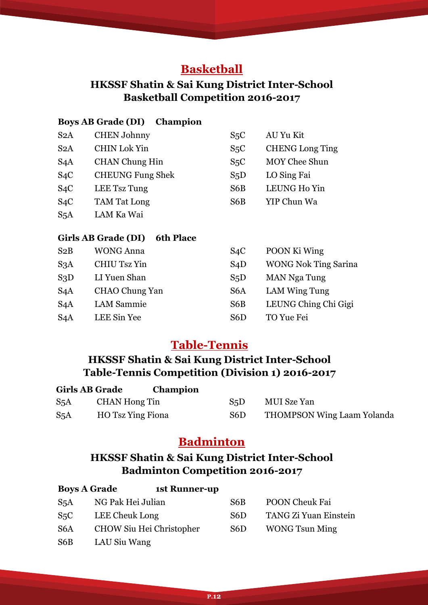## **Basketball**

### **HKSSF Shatin & Sai Kung District Inter-School Basketball Competition 2016-2017**

### **Boys AB Grade (DI) Champion**

| S2A              | <b>CHEN Johnny</b>      | S <sub>5</sub> C | AU Yu Kit              |
|------------------|-------------------------|------------------|------------------------|
| S2A              | <b>CHIN Lok Yin</b>     | S <sub>5</sub> C | <b>CHENG Long Ting</b> |
| S4A              | <b>CHAN</b> Chung Hin   | S <sub>5</sub> C | <b>MOY Chee Shun</b>   |
| $S_4C$           | <b>CHEUNG Fung Shek</b> | S <sub>5</sub> D | LO Sing Fai            |
| $S_4C$           | LEE Tsz Tung            | S <sub>6</sub> B | LEUNG Ho Yin           |
| S4C              | <b>TAM Tat Long</b>     | S6B              | YIP Chun Wa            |
| S <sub>5</sub> A | LAM Ka Wai              |                  |                        |

### **Girls AB Grade (DI) 6th Place**

| S2B              | <b>WONG Anna</b>    | S4C              | POON Ki Wing                |
|------------------|---------------------|------------------|-----------------------------|
| S <sub>3</sub> A | <b>CHIU Tsz Yin</b> | S4D              | <b>WONG Nok Ting Sarina</b> |
| S3D              | LI Yuen Shan        | S <sub>5</sub> D | <b>MAN Nga Tung</b>         |
| S <sub>4</sub> A | CHAO Chung Yan      | S <sub>6</sub> A | LAM Wing Tung               |
| S <sub>4</sub> A | <b>LAM Sammie</b>   | S <sub>6</sub> B | LEUNG Ching Chi Gigi        |
| S4A              | LEE Sin Yee         | S <sub>6</sub> D | TO Yue Fei                  |

### **Table-Tennis**

### **HKSSF Shatin & Sai Kung District Inter-School Table-Tennis Competition (Division 1) 2016-2017**

| <b>Girls AB Grade</b> |                          | <b>Champion</b> |                  |                                   |
|-----------------------|--------------------------|-----------------|------------------|-----------------------------------|
| S <sub>5</sub> A      | CHAN Hong Tin            |                 | S <sub>5</sub> D | MUI Sze Yan                       |
| S <sub>5</sub> A      | <b>HO</b> Tsz Ying Fiona |                 | S6D              | <b>THOMPSON Wing Laam Yolanda</b> |

### **Badminton**

### **HKSSF Shatin & Sai Kung District Inter-School Badminton Competition 2016-2017**

| <b>Boys A Grade</b> | <b>1st Runner-up</b>     |     |                              |  |
|---------------------|--------------------------|-----|------------------------------|--|
| S <sub>5</sub> A    | NG Pak Hei Julian        | S6B | <b>POON Cheuk Fai</b>        |  |
| $S_5C$              | LEE Cheuk Long           | S6D | <b>TANG Zi Yuan Einstein</b> |  |
| S <sub>6</sub> A    | CHOW Siu Hei Christopher | S6D | <b>WONG Tsun Ming</b>        |  |
| S6B                 | LAU Siu Wang             |     |                              |  |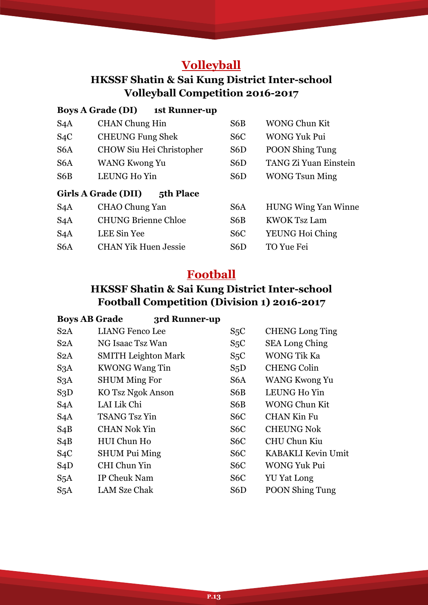# **Volleyball**

### **HKSSF Shatin & Sai Kung District Inter-school Volleyball Competition 2016-2017**

### **Boys A Grade (DI) 1st Runner-up**

| S <sub>4</sub> A | <b>CHAN Chung Hin</b>            | S6B              | <b>WONG Chun Kit</b>       |
|------------------|----------------------------------|------------------|----------------------------|
| S <sub>4</sub> C | <b>CHEUNG Fung Shek</b>          | S <sub>6</sub> C | <b>WONG Yuk Pui</b>        |
| S <sub>6</sub> A | <b>CHOW Siu Hei Christopher</b>  | S <sub>6</sub> D | <b>POON Shing Tung</b>     |
| S <sub>6</sub> A | <b>WANG Kwong Yu</b>             | S <sub>6</sub> D | TANG Zi Yuan Einstein      |
| S6B              | LEUNG Ho Yin                     | S6D              | <b>WONG Tsun Ming</b>      |
|                  | Girls A Grade (DII)<br>5th Place |                  |                            |
| S <sub>4</sub> A | <b>CHAO Chung Yan</b>            | S <sub>6</sub> A | <b>HUNG Wing Yan Winne</b> |
| S <sub>4</sub> A | <b>CHUNG Brienne Chloe</b>       | S6B              | <b>KWOK Tsz Lam</b>        |
| S <sub>4</sub> A | LEE Sin Yee                      | S <sub>6</sub> C | YEUNG Hoi Ching            |
| S <sub>6</sub> A | <b>CHAN Yik Huen Jessie</b>      | S6D              | <b>TO Yue Fei</b>          |

# **Football**

## **HKSSF Shatin & Sai Kung District Inter-school Football Competition (Division 1) 2016-2017**

| <b>Boys AB Grade</b> | 3rd Runner-up              |                  |                        |
|----------------------|----------------------------|------------------|------------------------|
| S2A                  | <b>LIANG Fenco Lee</b>     | S <sub>5</sub> C | <b>CHENG</b> Long Ting |
| S2A                  | NG Isaac Tsz Wan           | S <sub>5</sub> C | <b>SEA Long Ching</b>  |
| S <sub>2</sub> A     | <b>SMITH</b> Leighton Mark | S <sub>5</sub> C | <b>WONG Tik Ka</b>     |
| S <sub>3</sub> A     | <b>KWONG Wang Tin</b>      | S <sub>5</sub> D | <b>CHENG Colin</b>     |
| S <sub>3</sub> A     | <b>SHUM Ming For</b>       | S <sub>6</sub> A | <b>WANG Kwong Yu</b>   |
| S3D                  | KO Tsz Ngok Anson          | S6B              | LEUNG Ho Yin           |
| S <sub>4</sub> A     | LAI Lik Chi                | S6B              | <b>WONG Chun Kit</b>   |
| S <sub>4</sub> A     | <b>TSANG Tsz Yin</b>       | S <sub>6</sub> C | <b>CHAN Kin Fu</b>     |
| $S_4B$               | <b>CHAN Nok Yin</b>        | S <sub>6</sub> C | <b>CHEUNG Nok</b>      |
| $S_4B$               | HUI Chun Ho                | S <sub>6</sub> C | CHU Chun Kiu           |
| $S_4C$               | <b>SHUM Pui Ming</b>       | S <sub>6</sub> C | KABAKLI Kevin Umit     |
| S4D                  | CHI Chun Yin               | S <sub>6</sub> C | <b>WONG Yuk Pui</b>    |
| S <sub>5</sub> A     | IP Cheuk Nam               | S <sub>6</sub> C | <b>YU Yat Long</b>     |
| S <sub>5</sub> A     | LAM Sze Chak               | S6D              | <b>POON Shing Tung</b> |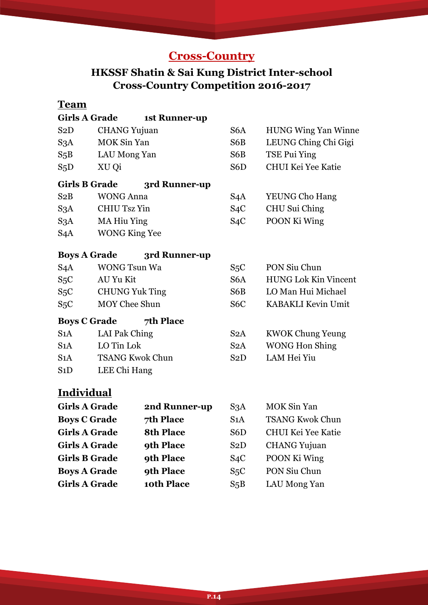# **Cross-Country**

# **HKSSF Shatin & Sai Kung District Inter-school Cross-Country Competition 2016-2017**

### **Team**

| <b>Girls A Grade</b>                 |                        | 1st Runner-up    |                  |                             |  |
|--------------------------------------|------------------------|------------------|------------------|-----------------------------|--|
| S2D                                  | <b>CHANG Yujuan</b>    |                  | S <sub>6</sub> A | <b>HUNG Wing Yan Winne</b>  |  |
| S3A                                  | <b>MOK Sin Yan</b>     |                  | S6B              | LEUNG Ching Chi Gigi        |  |
| $S_5B$                               | LAU Mong Yan           |                  | S6B              | TSE Pui Ying                |  |
| S <sub>5</sub> D                     | XU Qi                  |                  | S <sub>6</sub> D | <b>CHUI Kei Yee Katie</b>   |  |
| <b>Girls B Grade</b>                 |                        | 3rd Runner-up    |                  |                             |  |
| S2B                                  | <b>WONG Anna</b>       |                  | S <sub>4</sub> A | <b>YEUNG Cho Hang</b>       |  |
| S3A                                  | <b>CHIU Tsz Yin</b>    |                  | S <sub>4</sub> C | CHU Sui Ching               |  |
| S3A                                  | <b>MA Hiu Ying</b>     |                  | S <sub>4</sub> C | POON Ki Wing                |  |
| S <sub>4</sub> A                     | <b>WONG King Yee</b>   |                  |                  |                             |  |
| <b>Boys A Grade</b><br>3rd Runner-up |                        |                  |                  |                             |  |
| S <sub>4</sub> A                     | <b>WONG Tsun Wa</b>    |                  | $S_5C$           | PON Siu Chun                |  |
| $S_5C$                               | AU Yu Kit              |                  | S6A              | <b>HUNG Lok Kin Vincent</b> |  |
| $S_5C$                               | <b>CHUNG Yuk Ting</b>  |                  | S6B              | LO Man Hui Michael          |  |
| S <sub>5</sub> C                     | <b>MOY Chee Shun</b>   |                  | S <sub>6</sub> C | <b>KABAKLI Kevin Umit</b>   |  |
|                                      | <b>Boys C Grade</b>    | 7th Place        |                  |                             |  |
| S1A                                  | LAI Pak Ching          |                  | S <sub>2</sub> A | <b>KWOK Chung Yeung</b>     |  |
| S1A                                  | LO Tin Lok             |                  | S <sub>2</sub> A | <b>WONG Hon Shing</b>       |  |
| S1A                                  | <b>TSANG Kwok Chun</b> |                  | S2D              | LAM Hei Yiu                 |  |
| S1D                                  | LEE Chi Hang           |                  |                  |                             |  |
| <u>Individual</u>                    |                        |                  |                  |                             |  |
| <b>Girls A Grade</b>                 |                        | 2nd Runner-up    | S <sub>3</sub> A | <b>MOK Sin Yan</b>          |  |
| <b>Boys C Grade</b>                  |                        | 7th Place        | S1A              | <b>TSANG Kwok Chun</b>      |  |
| <b>Girls A Grade</b>                 |                        | <b>8th Place</b> | S6D              | <b>CHUI Kei Yee Katie</b>   |  |
| <b>Girls A Grade</b>                 |                        | 9th Place        | S <sub>2</sub> D | <b>CHANG</b> Yujuan         |  |
| <b>Girls B Grade</b>                 |                        | 9th Place        | S <sub>4</sub> C | POON Ki Wing                |  |
| <b>Boys A Grade</b>                  |                        | 9th Place        | S <sub>5</sub> C | PON Siu Chun                |  |
| <b>Girls A Grade</b>                 |                        | 10th Place       | $S_5B$           | LAU Mong Yan                |  |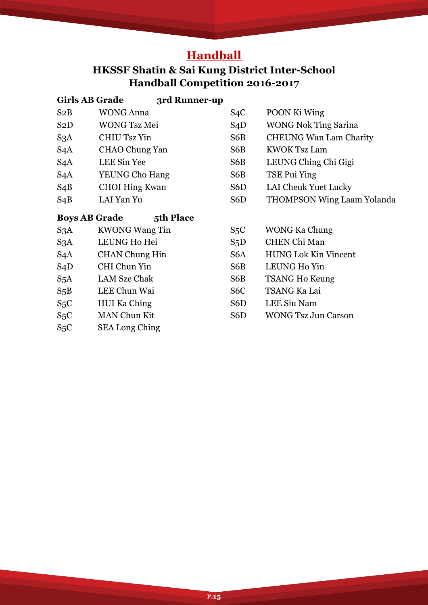# **Handball**

# **HKSSF Shatin & Sai Kung District Inter-School Handball Competition 2016-2017**

| <b>Girls AB Grade</b> | 3rd Runner-up         |                  |                                   |
|-----------------------|-----------------------|------------------|-----------------------------------|
| S2B                   | <b>WONG Anna</b>      | S <sub>4</sub> C | POON Ki Wing                      |
| S <sub>2</sub> D      | <b>WONG Tsz Mei</b>   | S4D              | <b>WONG Nok Ting Sarina</b>       |
| S <sub>3</sub> A      | CHIU Tsz Yin          | S6B              | <b>CHEUNG Wan Lam Charity</b>     |
| S <sub>4</sub> A      | CHAO Chung Yan        | S6B              | <b>KWOK Tsz Lam</b>               |
| S <sub>4</sub> A      | LEE Sin Yee           | S6B              | LEUNG Ching Chi Gigi              |
| S <sub>4</sub> A      | <b>YEUNG Cho Hang</b> | S6B              | TSE Pui Ying                      |
| $S_4B$                | <b>CHOI Hing Kwan</b> | S6D              | LAI Cheuk Yuet Lucky              |
| $S_4B$                | LAI Yan Yu            | S <sub>6</sub> D | <b>THOMPSON Wing Laam Yolanda</b> |
| <b>Boys AB Grade</b>  | 5th Place             |                  |                                   |
| S <sub>3</sub> A      | <b>KWONG Wang Tin</b> | $S_5C$           | <b>WONG Ka Chung</b>              |
| S3A                   | LEUNG Ho Hei          | $S_5D$           | <b>CHEN Chi Man</b>               |
| S <sub>4</sub> A      | <b>CHAN</b> Chung Hin | S6A              | <b>HUNG Lok Kin Vincent</b>       |
| S4D                   | CHI Chun Yin          | S6B              | LEUNG Ho Yin                      |
| S <sub>5</sub> A      | <b>LAM Sze Chak</b>   | S6B              | <b>TSANG Ho Keung</b>             |
| $S_5B$                | LEE Chun Wai          | S <sub>6</sub> C | TSANG Ka Lai                      |
| S <sub>5</sub> C      | <b>HUI Ka Ching</b>   | S6D              | LEE Siu Nam                       |
| S <sub>5</sub> C      | <b>MAN Chun Kit</b>   | S <sub>6</sub> D | <b>WONG Tsz Jun Carson</b>        |
| $S_5C$                | <b>SEA Long Ching</b> |                  |                                   |

**P.15**